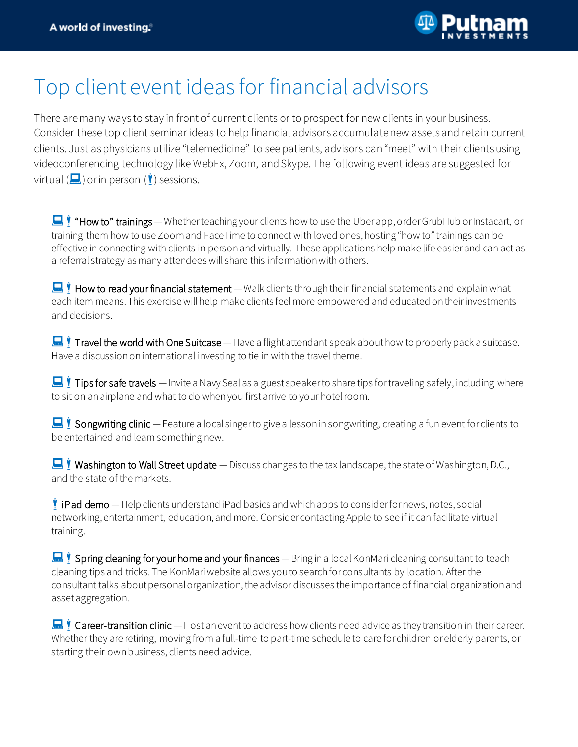

## Top client event ideas for financial advisors

There are many ways to stay in front of current clients or to prospect for new clients in your business. Consider these top client seminar ideas to help financial advisors accumulate new assets and retain current clients. Just as physicians utilize "telemedicine" to see patients, advisors can "meet" with their clients using videoconferencing technology like WebEx, Zoom, and Skype. The following event ideas are suggested for virtual  $(\blacksquare)$  or in person  $(\mathbf{I})$  sessions.

 $\blacksquare$  "How to" trainings — Whether teaching your clients how to use the Uber app, order GrubHub or Instacart, or training them how to use Zoom and FaceTime to connect with loved ones, hosting "how to" trainings can be effective in connecting with clients in person and virtually. These applications help make life easier and can act as a referral strategy as many attendees will share this information with others.

 $\blacksquare$  How to read your financial statement — Walk clients through their financial statements and explain what each item means. This exercise will help make clients feel more empowered and educated on their investments and decisions.

 $\blacksquare$  Travel the world with One Suitcase — Have a flight attendant speak about how to properly pack a suitcase. Have a discussion on international investing to tie in with the travel theme.

**I** Tips for safe travels — Invite a Navy Seal as a guest speaker to share tips for traveling safely, including where to sit on an airplane and what to do when you first arrive to your hotel room.

Songwriting clinic — Feature a local singer to give a lesson in songwriting, creating a fun event for clients to be entertained and learn something new.

Washington to Wall Street update — Discuss changes to the tax landscape, the state of Washington, D.C., and the state of the markets.

 iPad demo —Help clients understand iPad basics and which apps to consider for news, notes, social networking, entertainment, education, and more. Consider contacting Apple to see if it can facilitate virtual training.

 $\blacksquare$  Spring cleaning for your home and your finances — Bring in a local KonMari cleaning consultant to teach cleaning tips and tricks. The KonMari website allows you to search for consultants by location. After the consultant talks about personal organization, the advisor discusses the importance of financial organization and asset aggregation.

Career-transition clinic — Host an event to address how clients need advice as they transition in their career. Whether they are retiring, moving from a full-time to part-time schedule to care for children or elderly parents, or starting their own business, clients need advice.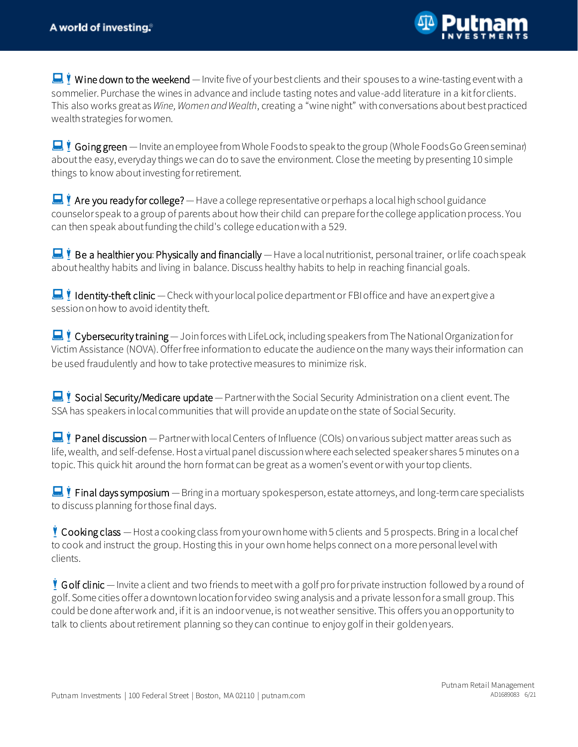

Wine down to the weekend — Invite five of your best clients and their spouses to a wine-tasting event with a sommelier. Purchase the wines in advance and include tasting notes and value-add literature in a kit for clients. This also works great as *Wine,Women and Wealth*, creating a "wine night" withconversations about best practiced wealth strategies for women.

 $\blacksquare$   $\blacksquare$  Going green — Invite an employee from Whole Foods to speak to the group (Whole Foods Go Green seminar) about the easy, everyday things we can do to save the environment. Close the meeting by presenting 10 simple things to know about investing for retirement.

Are you ready for college?  $-$  Have a college representative or perhaps a local high school guidance counselor speak to a group of parents about how their child can prepare for the college application process. You can then speak about funding the child's college education with a 529.

Be a healthier you: Physically and financially — Have a local nutritionist, personal trainer, or life coach speak about healthy habits and living in balance. Discuss healthy habits to help in reaching financial goals.

**Identity-theft clinic** — Check with your local police department or FBI office and have an expert give a session on how to avoid identity theft.

Cybersecurity training — Join forces with LifeLock, including speakers from The National Organization for Victim Assistance (NOVA). Offerfree information to educate the audience onthe many ways their information can be used fraudulently and how to take protective measures to minimize risk.

Social Security/Medicare update — Partner with the Social Security Administration on a client event. The SSA has speakers in local communities that will provide an update on the state of Social Security.

**Panel discussion** — Partner with local Centers of Influence (COIs) on various subject matter areas such as life, wealth, and self-defense. Host a virtual panel discussion where each selected speaker shares 5 minutes on a topic. This quick hit around the horn format can be great as a women's event or with your top clients.

**Final days symposium** — Bring in a mortuary spokesperson, estate attorneys, and long-term care specialists to discuss planning for those final days.

 Cooking class —Host a cooking class fromyour own home with5 clients and 5 prospects. Bring in a local chef to cook and instruct the group. Hosting this in your own home helps connect on a more personal level with clients.

 G olf clinic —Invite a client and two friends to meet with a golf pro for private instruction followed by a round of golf. Some cities offer a downtown location for video swing analysis and a private lesson for a small group. This could be done after work and, if it is an indoor venue, is not weather sensitive. This offers you an opportunity to talk to clients about retirement planning so they can continue to enjoy golf in their golden years.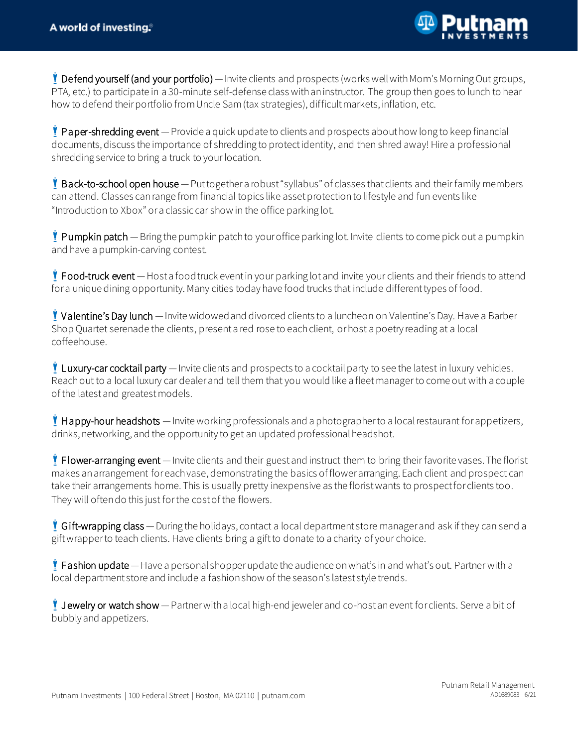

Pefend yourself (and your portfolio) — Invite clients and prospects (works well with Mom's Morning Out groups, PTA, etc.) to participate in a 30-minute self-defense class with an instructor. The group then goes to lunch to hear how to defend their portfolio from Uncle Sam (tax strategies), difficult markets, inflation, etc.

 Paper-shredding event —Provide a quick update to clients and prospects about how long to keep financial documents, discuss the importance of shredding to protect identity, and then shred away! Hire a professional shredding service to bring a truck to your location.

 Back-to-school open house —Put together a robust "syllabus" of classes that clients and their family members can attend. Classes can range from financial topics like asset protection to lifestyle and fun events like "Introduction to Xbox" or a classic car show in the office parking lot.

**!** Pumpkin patch — Bring the pumpkin patch to your office parking lot. Invite clients to come pick out a pumpkin and have a pumpkin-carving contest.

**Food-truck event** — Host a food truck event in your parking lot and invite your clients and their friends to attend for a unique dining opportunity. Many cities today have food trucks that include different types of food.

Valentine's Day lunch — Invite widowed and divorced clients to a luncheon on Valentine's Day. Have a Barber Shop Quartet serenade the clients, present a red rose to each client, orhost a poetry reading at a local coffeehouse.

**Luxury-car cocktail party** — Invite clients and prospects to a cocktail party to see the latest in luxury vehicles. Reach out to a local luxury car dealer and tell them that you would like a fleet manager to come out with a couple of the latest and greatest models.

 $\bullet$  Happy-hour headshots  $-$  Invite working professionals and a photographer to a local restaurant for appetizers, drinks, networking, and the opportunity to get an updated professional headshot.

**Flower-arranging event** — Invite clients and their guest and instruct them to bring their favorite vases. The florist makes an arrangement for each vase, demonstrating the basics of flower arranging. Each client and prospect can take their arrangements home. This is usually pretty inexpensive as the florist wants to prospect for clients too. They will often do this just for the cost of the flowers.

 G ift-wrapping class —During the holidays, contact a local department store managerand ask if they can send a gift wrapper to teach clients. Have clients bring a gift to donate to a charity of your choice.

**Fashion update** — Have a personal shopper update the audience on what's in and what's out. Partner with a local department store and include a fashion show of the season's latest style trends.

I Jewelry or watch show — Partner with a local high-end jeweler and co-host an event for clients. Serve a bit of bubbly and appetizers.